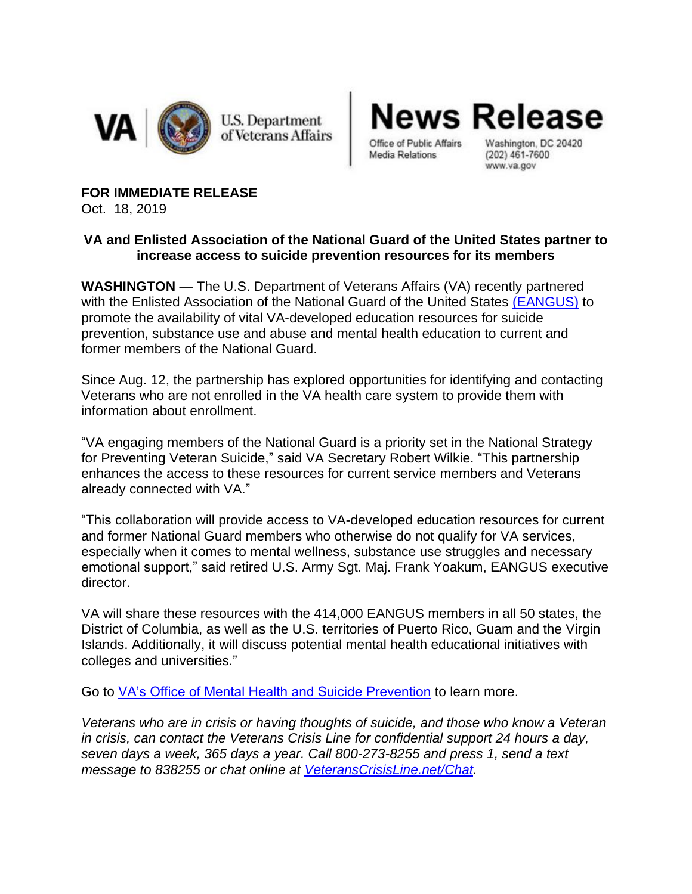

**U.S. Department** of Veterans Affairs lews Release

Office of Public Affairs **Media Relations** 

Washington, DC 20420  $(202)$  461-7600 www.va.gov

**FOR IMMEDIATE RELEASE** Oct. 18, 2019

## **VA and Enlisted Association of the National Guard of the United States partner to increase access to suicide prevention resources for its members**

**WASHINGTON** — The U.S. Department of Veterans Affairs (VA) recently partnered with the Enlisted Association of the National Guard of the United States [\(EANGUS\)](https://eangus.org/) to promote the availability of vital VA-developed education resources for suicide prevention, substance use and abuse and mental health education to current and former members of the National Guard.

Since Aug. 12, the partnership has explored opportunities for identifying and contacting Veterans who are not enrolled in the VA health care system to provide them with information about enrollment.

"VA engaging members of the National Guard is a priority set in the National Strategy for Preventing Veteran Suicide," said VA Secretary Robert Wilkie. "This partnership enhances the access to these resources for current service members and Veterans already connected with VA."

"This collaboration will provide access to VA-developed education resources for current and former National Guard members who otherwise do not qualify for VA services, especially when it comes to mental wellness, substance use struggles and necessary emotional support," said retired U.S. Army Sgt. Maj. Frank Yoakum, EANGUS executive director.

VA will share these resources with the 414,000 EANGUS members in all 50 states, the District of Columbia, as well as the U.S. territories of Puerto Rico, Guam and the Virgin Islands. Additionally, it will discuss potential mental health educational initiatives with colleges and universities."

Go to [VA's Office of Mental Health and Suicide Prevention](https://www.mentalhealth.va.gov/suicide_prevention/) to learn more.

*Veterans who are in crisis or having thoughts of suicide, and those who know a Veteran in crisis, can contact the Veterans Crisis Line for confidential support 24 hours a day, seven days a week, 365 days a year. Call 800-273-8255 and press 1, send a text message to 838255 or chat online at [VeteransCrisisLine.net/Chat.](http://veteranscrisisline.net/Chat)*